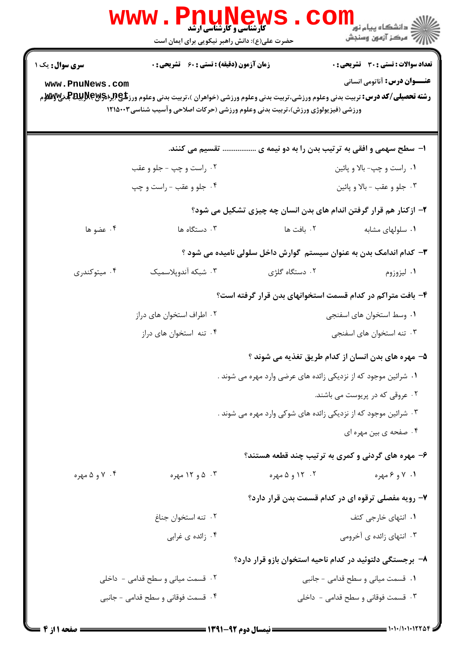|                                          | <b>www.PnuNews</b><br><b>کارشناسی و کارشناسی ارشد</b><br>حضرت علی(ع): دانش راهبر نیکویی برای ایمان است |                                                                                | ر دانشگاه پيام نور <mark>− ا</mark><br>ار <i>آهر کز</i> آزمون وسنجش                 |
|------------------------------------------|--------------------------------------------------------------------------------------------------------|--------------------------------------------------------------------------------|-------------------------------------------------------------------------------------|
| <b>سری سوال:</b> یک ۱<br>www.PnuNews.com | <b>زمان آزمون (دقیقه) : تستی : 60 ٪ تشریحی : 0</b>                                                     | ورزشی (فیزیولوژی ورزش)،تربیت بدنی وعلوم ورزشی (حرکات اصلاحی وآسیب شناسی۱۲۱۵۰۰۳ | <b>تعداد سوالات : تستی : 30 ٪ تشریحی : 0</b><br><b>عنـــوان درس:</b> آناتومی انسانی |
|                                          | تقسیم می کنند.                                                                                         |                                                                                | ۱- سطح سهمی و افقی به ترتیب بدن را به دو نیمه ی                                     |
|                                          | ۰۲ راست و چپ - جلو و عقب                                                                               |                                                                                | ۰۱ راست و چپ- بالا و پائين                                                          |
| ۰۴ جلو و عقب - راست و چپ                 |                                                                                                        | ۰۳ جلو و عقب - بالا و پائين                                                    |                                                                                     |
|                                          |                                                                                                        | ۲- ازکنار هم قرار گرفتن اندام های بدن انسان چه چیزی تشکیل می شود؟              |                                                                                     |
| ۰۴ عضو ها                                | ۰۳ دستگاه ها                                                                                           | ۰۲ بافت ها                                                                     | ۰۱ سلولهای مشابه                                                                    |
|                                          |                                                                                                        | ۳- کدام اندامک بدن به عنوان سیستم گوارش داخل سلولی نامیده می شود ؟             |                                                                                     |
| ۰۴ میتوکندری                             | ۰۳ شبکه آندوپلاسمیک                                                                                    | ۰۲ دستگاه گلژی                                                                 | ۰۱ لیزوزوم                                                                          |
|                                          |                                                                                                        | ۴– بافت متراکم در کدام قسمت استخوانهای بدن قرار گرفته است؟                     |                                                                                     |
|                                          | ۰۲ اطراف استخوان های دراز                                                                              |                                                                                | ٠١. وسط استخوان هاي اسفنجي                                                          |
|                                          | ۰۴ تنه استخوان های دراز                                                                                |                                                                                | ۰۳ تنه استخوان های اسفنجی                                                           |
|                                          |                                                                                                        | ۵– مهره های بدن انسان از کدام طریق تغذیه می شوند ؟                             |                                                                                     |
|                                          |                                                                                                        | ۰۱ شرائین موجود که از نزدیکی زائده های عرضی وارد مهره می شوند .                |                                                                                     |
|                                          | ۰۲ عروقی که در پریوست می باشند.                                                                        |                                                                                |                                                                                     |
|                                          |                                                                                                        | ۰۳ شرائین موجود که از نزدیکی زائده های شوکی وارد مهره می شوند .                |                                                                                     |
|                                          |                                                                                                        |                                                                                | ۰۴ صفحه ی بین مهره ای                                                               |
|                                          |                                                                                                        | ۶– مهره های گردنی و کمری به ترتیب چند قطعه هستند؟                              |                                                                                     |
| ۰۴ و ۵ مهره                              | ۰۳ ه و ۱۲ مهره                                                                                         | ۰۲ - ۱۲ و ۵ مهره                                                               | ۰۱ / و ۶ مهره                                                                       |
|                                          |                                                                                                        | ۷- رویه مفصلی ترقوه ای در کدام قسمت بدن قرار دارد؟                             |                                                                                     |
|                                          | ٠٢ تنه استخوان جناغ                                                                                    |                                                                                | ۰۱ انتهای خارجی کتف                                                                 |
|                                          | ۰۴ زائده ی غرابی                                                                                       |                                                                                | ۰۳ انتهای زائده ی آخرومی                                                            |
|                                          |                                                                                                        | ۸– برجستگی دلتوئید در کدام ناحیه استخوان بازو قرار دارد؟                       |                                                                                     |
|                                          | ۰۲ قسمت میانی و سطح قدامی - داخلی                                                                      |                                                                                | ۰۱ قسمت میانی و سطح قدامی - جانبی                                                   |
|                                          | ۰۴ قسمت فوقانی و سطح قدامی - جانبی                                                                     |                                                                                | ۰۳ قسمت فوقانی و سطح قدامی - داخلی                                                  |
|                                          |                                                                                                        |                                                                                |                                                                                     |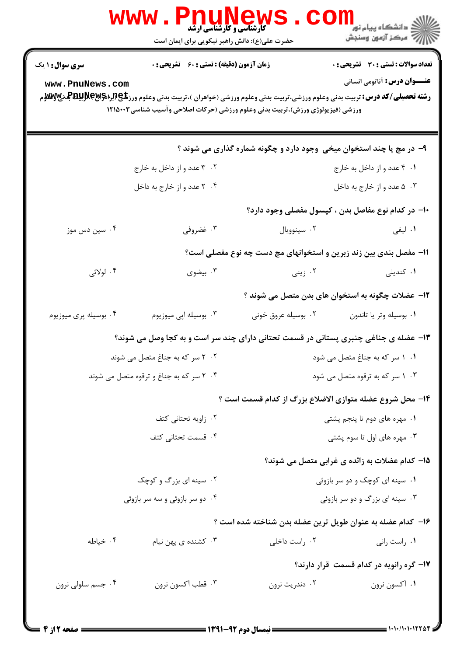|                                                                  | www.PnuNews                                        |                                                                                                                                                                                                                                                                                                                                     | الله دانشگاه پيام نور<br>۱۳۸۸ -<br>۱۳۸۸ - مرکز آزمون وسنجش                          |  |
|------------------------------------------------------------------|----------------------------------------------------|-------------------------------------------------------------------------------------------------------------------------------------------------------------------------------------------------------------------------------------------------------------------------------------------------------------------------------------|-------------------------------------------------------------------------------------|--|
|                                                                  | حضرت علی(ع): دانش راهبر نیکویی برای ایمان است      |                                                                                                                                                                                                                                                                                                                                     |                                                                                     |  |
| سری سوال : ۱ یک<br>www.PnuNews.com                               | <b>زمان آزمون (دقیقه) : تستی : 60 ٪ تشریحی : 0</b> | <b>رشته تحصیلی/کد درس:</b> تربیت بدنی وعلوم ورزشی،تربیت بدنی وعلوم ورزشی (خواهران )،تربیت بدنی وعلوم ورز <b>شگی(لبرلهگیلاپلیتاگلرندی اس</b> است است که است است که است است است که است است است است است<br>در استه ت <b>حصیلی/کد درس:</b> تربیت بدنی<br>ورزشی (فیزیولوژی ورزش)،تربیت بدنی وعلوم ورزشی (حرکات اصلاحی وآسیب شناسی۱۲۱۵۰۰۳ | <b>تعداد سوالات : تستی : 30 ٪ تشریحی : 0</b><br><b>عنـــوان درس:</b> آناتومی انسانی |  |
|                                                                  |                                                    |                                                                                                                                                                                                                                                                                                                                     |                                                                                     |  |
|                                                                  |                                                    | ۹- در مچ پا چند استخوان میخی وجود دارد و چگونه شماره گذاری می شوند ؟                                                                                                                                                                                                                                                                |                                                                                     |  |
|                                                                  | ۰۲ ۳ عدد و از داخل به خارج                         |                                                                                                                                                                                                                                                                                                                                     | ۰۱ ۴ عدد و از داخل به خارج                                                          |  |
|                                                                  | ۰۴ مدد و از خارج به داخل                           |                                                                                                                                                                                                                                                                                                                                     | ۰۳ ه عدد و از خارج به داخل                                                          |  |
|                                                                  |                                                    |                                                                                                                                                                                                                                                                                                                                     | ۱۰– در کدام نوع مفاصل بدن ، کپسول مفصلی وجود دارد؟                                  |  |
| ۰۴ سین دس موز                                                    | ۰۳ غضروفي                                          | ۰۲ سينوويال                                                                                                                                                                                                                                                                                                                         | ۰۱ لیفی                                                                             |  |
|                                                                  |                                                    | 11- مفصل بندی بین زند زبرین و استخوانهای مچ دست چه نوع مفصلی است؟                                                                                                                                                                                                                                                                   |                                                                                     |  |
| ۰۴ لولائی                                                        | ۰۳ بیضوی                                           |                                                                                                                                                                                                                                                                                                                                     | ۰ <b>۱</b> کندیلی مسلمان است. ۲۰ زینی                                               |  |
|                                                                  |                                                    | ۱۲– عضلات چگونه به استخوان های بدن متصل می شوند ؟                                                                                                                                                                                                                                                                                   |                                                                                     |  |
| ۰۴ بوسیله پری میوزیوم                                            | ۰۳ بوسیله اپی میوزیوم                              | ۰۲ بوسیله عروق خونی                                                                                                                                                                                                                                                                                                                 | ٠١. بوسيله وتر يا تاندون                                                            |  |
|                                                                  |                                                    | ۱۳- عضله ی جناغی چنبری پستانی در قسمت تحتانی دارای چند سر است و به کجا وصل می شوند؟                                                                                                                                                                                                                                                 |                                                                                     |  |
| ۲۰۲ سر که به جناغ متصل می شوند<br>۰۱ سر که به جناغ متصل می شود . |                                                    |                                                                                                                                                                                                                                                                                                                                     |                                                                                     |  |
| ۰۴ سر که به جناغ و ترقوه متصل می شوند                            |                                                    | ۰۳ ۱۰۳ سر که به ترقوه متصل می شود                                                                                                                                                                                                                                                                                                   |                                                                                     |  |
|                                                                  |                                                    | ۱۴- محل شروع عضله متوازی الاضلاع بزرگ از کدام قسمت است ؟                                                                                                                                                                                                                                                                            |                                                                                     |  |
|                                                                  | ۰۲ زاویه تحتانی کتف                                |                                                                                                                                                                                                                                                                                                                                     | ۰۱ مهره های دوم تا پنجم پشتی                                                        |  |
| ۰۴ قسمت تحتانی کتف                                               |                                                    | ۰۳ مهره های اول تا سوم پشتی                                                                                                                                                                                                                                                                                                         |                                                                                     |  |
|                                                                  |                                                    |                                                                                                                                                                                                                                                                                                                                     | ۱۵– کدام عضلات به زائده ی غرابی متصل می شوند؟                                       |  |
| ۰۲ سینه ای بزرگ و کوچک                                           |                                                    | ۰۱ سینه ای کوچک و دو سر بازوئی                                                                                                                                                                                                                                                                                                      |                                                                                     |  |
| ۰۴ دو سر بازوئی و سه سر بازوئی                                   |                                                    | ۰۳ سینه ای بزرگ و دو سر بازوئی                                                                                                                                                                                                                                                                                                      |                                                                                     |  |
|                                                                  |                                                    | ۱۶- کدام عضله به عنوان طویل ترین عضله بدن شناخته شده است ؟                                                                                                                                                                                                                                                                          |                                                                                     |  |
| ۰۴ خیاطه                                                         | ۰۳ کشنده ی پهن نیام                                | ۰۲ راست داخلی                                                                                                                                                                                                                                                                                                                       | ۰۱ راست رانی                                                                        |  |
|                                                                  |                                                    |                                                                                                                                                                                                                                                                                                                                     | ۱۷- گره رانویه در کدام قسمت قرار دارند؟                                             |  |
| ۰۴ جسم سلولي نرون                                                | ۰۳ قطب آكسون نرون                                  | ۰۲ دندریت نرون                                                                                                                                                                                                                                                                                                                      | ٠١ آکسون نرون                                                                       |  |
|                                                                  |                                                    |                                                                                                                                                                                                                                                                                                                                     |                                                                                     |  |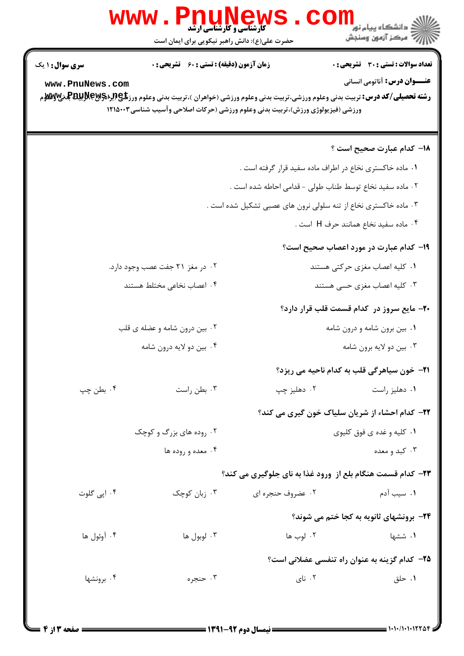|                                                                                                                                                                                                                                                                                                                            | w w w                                              | <b>کارشناسی و کارشناسی ارشد</b><br>حضرت علی(ع): دانش راهبر نیکویی برای ایمان است | <u>د</u> دانشگاه پيام نور<br>ب ۖ مرڪز آزمون وسنڊش          |  |  |
|----------------------------------------------------------------------------------------------------------------------------------------------------------------------------------------------------------------------------------------------------------------------------------------------------------------------------|----------------------------------------------------|----------------------------------------------------------------------------------|------------------------------------------------------------|--|--|
| <b>سری سوال :</b> ۱ یک                                                                                                                                                                                                                                                                                                     | <b>زمان آزمون (دقیقه) : تستی : 60 ٪ تشریحی : 0</b> |                                                                                  | <b>تعداد سوالات : تستی : 30 ٪ تشریحی : 0</b>               |  |  |
| <b>عنـــوان درس:</b> آناتومی انسانی<br>www.PnuNews.com<br><b>رشته تحصیلی/کد درس:</b> تربیت بدنی وعلوم ورزشی،تربیت بدنی وعلوم ورزشی (خواهران )،تربیت بدنی وعلوم ورز <b>شگی(لپلېلېلېلېلېلېلېلېلېلېلېله کې</b> لارېلېلېلېلېله کې په کې په کې<br>ورزشی (فیزیولوژی ورزش)،تربیت بدنی وعلوم ورزشی (حرکات اصلاحی وآسیب شناسی۲۱۵۰۰۳ |                                                    |                                                                                  |                                                            |  |  |
|                                                                                                                                                                                                                                                                                                                            |                                                    |                                                                                  | ۱۸– کدام عبارت صحیح است ؟                                  |  |  |
|                                                                                                                                                                                                                                                                                                                            |                                                    |                                                                                  | ۰۱ ماده خاکستری نخاع در اطراف ماده سفید قرار گرفته است .   |  |  |
| ٠٢ ماده سفيد نخاع توسط طناب طولى - قدامى احاطه شده است .                                                                                                                                                                                                                                                                   |                                                    |                                                                                  |                                                            |  |  |
| ۰۳ ماده خاکستری نخاع از تنه سلولی نرون های عصبی تشکیل شده است .                                                                                                                                                                                                                                                            |                                                    |                                                                                  |                                                            |  |  |
|                                                                                                                                                                                                                                                                                                                            |                                                    |                                                                                  | ۰۴ ماده سفید نخاع همانند حرف H است .                       |  |  |
|                                                                                                                                                                                                                                                                                                                            |                                                    |                                                                                  | ۱۹- کدام عبارت در مورد اعصاب صحیح است؟                     |  |  |
|                                                                                                                                                                                                                                                                                                                            | ۰۲ در مغز ۲۱ جفت عصب وجود دارد.                    |                                                                                  | ۰۱ کلیه اعصاب مغزی حرکتی هستند                             |  |  |
|                                                                                                                                                                                                                                                                                                                            | ۰۴ اعصاب نخاعی مختلط هستند                         |                                                                                  | ۰۳ کلیه اعصاب مغزی حسی هستند                               |  |  |
|                                                                                                                                                                                                                                                                                                                            |                                                    |                                                                                  | <b>۲۰</b> - مایع سروز در کدام قسمت قلب قرار دارد؟          |  |  |
|                                                                                                                                                                                                                                                                                                                            | ۰۲ بین درون شامه و عضله ی قلب                      |                                                                                  | ۰۱ بین برون شامه و درون شامه                               |  |  |
|                                                                                                                                                                                                                                                                                                                            | ۰۴ بین دو لایه درون شامه                           |                                                                                  | ۰۳ بین دو لایه برون شامه                                   |  |  |
|                                                                                                                                                                                                                                                                                                                            |                                                    |                                                                                  | <b>۲۱</b> - خون سیاهرگی قلب به کدام ناحیه می ریزد؟         |  |  |
| ۰۴ بطن چپ                                                                                                                                                                                                                                                                                                                  | ۰۳ بطن راست                                        | ۰۲ دهلیز چپ                                                                      | ٠١ دهليز راست                                              |  |  |
|                                                                                                                                                                                                                                                                                                                            |                                                    |                                                                                  | ٢٢- كدام احشاء از شريان سلياك خون گيري مي كند؟             |  |  |
|                                                                                                                                                                                                                                                                                                                            | ۰۲ روده های بزرگ و کوچک                            |                                                                                  | ۰۱ کلیه و غده ی فوق کلیوی                                  |  |  |
|                                                                                                                                                                                                                                                                                                                            | ۰۴ معده و روده ها                                  |                                                                                  | ۰۳ کېد و معده                                              |  |  |
|                                                                                                                                                                                                                                                                                                                            |                                                    |                                                                                  | ۲۳- کدام قسمت هنگام بلع از ورود غذا به نای جلوگیری می کند؟ |  |  |
| ۰۴ اپی گلوت                                                                                                                                                                                                                                                                                                                | ۰۳ زبان کوچک                                       | ۰۲ عضروف حنجره ای                                                                | ۰۱ سیب آدم                                                 |  |  |
|                                                                                                                                                                                                                                                                                                                            |                                                    |                                                                                  | <b>34- برونشهای ثانویه به کجا ختم می شوند؟</b>             |  |  |
| ۰۴ آوئول ها                                                                                                                                                                                                                                                                                                                | ۰۳ لوبول ها                                        | ۰۲ لوب ها                                                                        | ۰۱ ششها                                                    |  |  |
|                                                                                                                                                                                                                                                                                                                            |                                                    |                                                                                  | ۲۵- کدام گزینه به عنوان راه تنفسی عضلانی است؟              |  |  |
| ۰۴ برونشها                                                                                                                                                                                                                                                                                                                 | ۰۳ حنجره                                           | ۰۲ نای                                                                           | ۰۱ حلق                                                     |  |  |
|                                                                                                                                                                                                                                                                                                                            |                                                    |                                                                                  |                                                            |  |  |